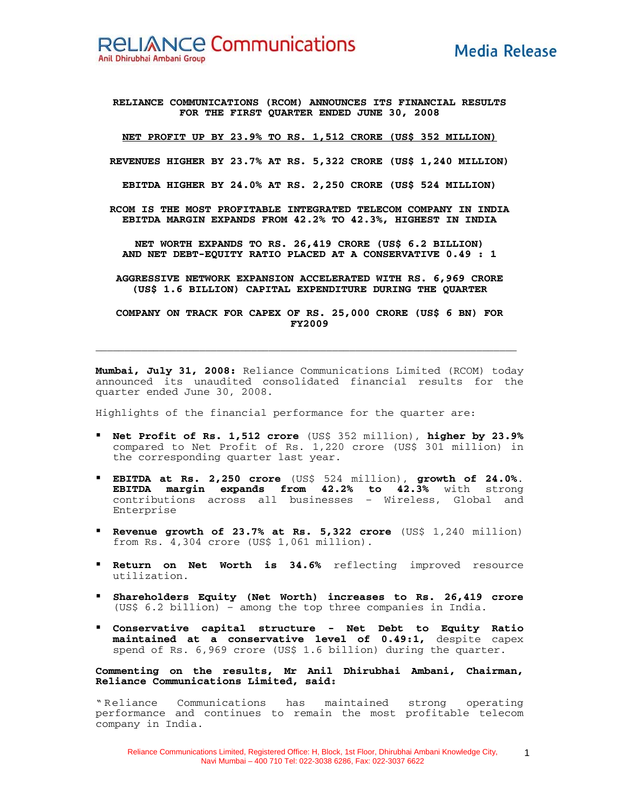**RELIANCE COMMUNICATIONS (RCOM) ANNOUNCES ITS FINANCIAL RESULTS FOR THE FIRST QUARTER ENDED JUNE 30, 2008** 

**NET PROFIT UP BY 23.9% TO RS. 1,512 CRORE (US\$ 352 MILLION)**

**REVENUES HIGHER BY 23.7% AT RS. 5,322 CRORE (US\$ 1,240 MILLION)** 

**EBITDA HIGHER BY 24.0% AT RS. 2,250 CRORE (US\$ 524 MILLION)** 

**RCOM IS THE MOST PROFITABLE INTEGRATED TELECOM COMPANY IN INDIA EBITDA MARGIN EXPANDS FROM 42.2% TO 42.3%, HIGHEST IN INDIA** 

**NET WORTH EXPANDS TO RS. 26,419 CRORE (US\$ 6.2 BILLION) AND NET DEBT-EQUITY RATIO PLACED AT A CONSERVATIVE 0.49 : 1** 

**AGGRESSIVE NETWORK EXPANSION ACCELERATED WITH RS. 6,969 CRORE (US\$ 1.6 BILLION) CAPITAL EXPENDITURE DURING THE QUARTER** 

**COMPANY ON TRACK FOR CAPEX OF RS. 25,000 CRORE (US\$ 6 BN) FOR FY2009** 

**\_\_\_\_\_\_\_\_\_\_\_\_\_\_\_\_\_\_\_\_\_\_\_\_\_\_\_\_\_\_\_\_\_\_\_\_\_\_\_\_\_\_\_\_\_\_\_\_\_\_\_\_\_\_\_\_\_\_\_\_\_\_\_\_\_\_\_\_\_\_\_\_\_**

**Mumbai, July 31, 2008:** Reliance Communications Limited (RCOM) today announced its unaudited consolidated financial results for the quarter ended June 30, 2008.

Highlights of the financial performance for the quarter are:

- **Net Profit of Rs. 1,512 crore** (US\$ 352 million), **higher by 23.9%** compared to Net Profit of Rs. 1,220 crore (US\$ 301 million) in the corresponding quarter last year.
- **EBITDA at Rs. 2,250 crore** (US\$ 524 million), **growth of 24.0%**. **EBITDA margin expands from 42.2% to 42.3%** with strong contributions across all businesses – Wireless, Global and Enterprise
- **Revenue growth of 23.7% at Rs. 5,322 crore** (US\$ 1,240 million) from Rs. 4,304 crore (US\$ 1,061 million).
- **Return on Net Worth is 34.6%** reflecting improved resource utilization.
- **Shareholders Equity (Net Worth) increases to Rs. 26,419 crore** (US\$ 6.2 billion) – among the top three companies in India.
- **Conservative capital structure Net Debt to Equity Ratio maintained at a conservative level of 0.49:1,** despite capex spend of Rs. 6,969 crore (US\$ 1.6 billion) during the quarter.

**Commenting on the results, Mr Anil Dhirubhai Ambani, Chairman, Reliance Communications Limited, said:** 

" Reliance Communications has maintained strong operating performance and continues to remain the most profitable telecom company in India.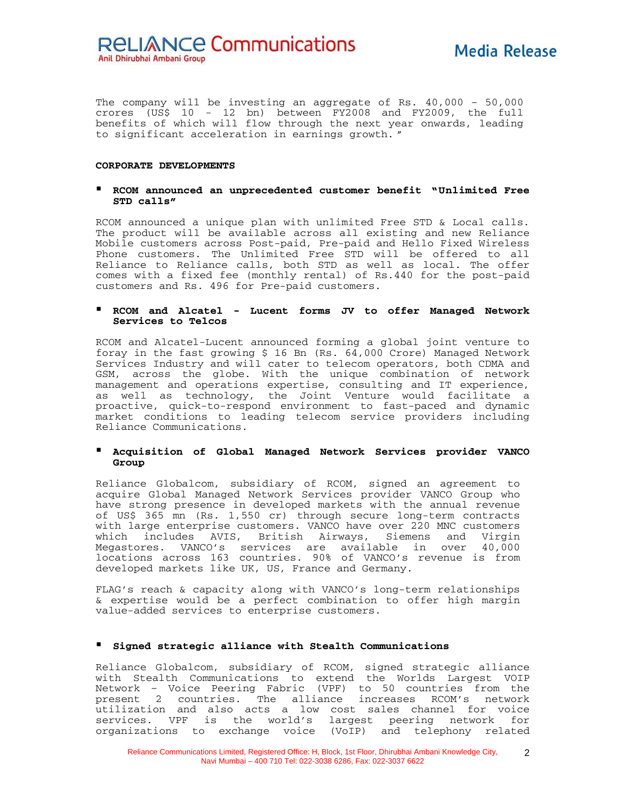The company will be investing an aggregate of Rs. 40,000 – 50,000 crores (US\$ 10 - 12 bn) between FY2008 and FY2009, the full benefits of which will flow through the next year onwards, leading to significant acceleration in earnings growth. "

#### **CORPORATE DEVELOPMENTS**

#### **RCOM announced an unprecedented customer benefit "Unlimited Free STD calls"**

RCOM announced a unique plan with unlimited Free STD & Local calls. The product will be available across all existing and new Reliance Mobile customers across Post-paid, Pre-paid and Hello Fixed Wireless Phone customers. The Unlimited Free STD will be offered to all Reliance to Reliance calls, both STD as well as local. The offer comes with a fixed fee (monthly rental) of Rs.440 for the post-paid customers and Rs. 496 for Pre-paid customers.

## **RCOM and Alcatel - Lucent forms JV to offer Managed Network Services to Telcos**

RCOM and Alcatel-Lucent announced forming a global joint venture to foray in the fast growing \$ 16 Bn (Rs. 64,000 Crore) Managed Network Services Industry and will cater to telecom operators, both CDMA and GSM, across the globe. With the unique combination of network management and operations expertise, consulting and IT experience, as well as technology, the Joint Venture would facilitate a proactive, quick-to-respond environment to fast-paced and dynamic market conditions to leading telecom service providers including Reliance Communications.

## **Acquisition of Global Managed Network Services provider VANCO Group**

Reliance Globalcom, subsidiary of RCOM, signed an agreement to acquire Global Managed Network Services provider VANCO Group who have strong presence in developed markets with the annual revenue of US\$ 365 mn (Rs. 1,550 cr) through secure long-term contracts with large enterprise customers. VANCO have over 220 MNC customers which includes AVIS, British Airways, Siemens and Virgin Megastores. VANCO's services are available in over 40,000 locations across 163 countries. 90% of VANCO's revenue is from developed markets like UK, US, France and Germany.

FLAG's reach & capacity along with VANCO's long-term relationships & expertise would be a perfect combination to offer high margin value-added services to enterprise customers.

## **Signed strategic alliance with Stealth Communications**

Reliance Globalcom, subsidiary of RCOM, signed strategic alliance with Stealth Communications to extend the Worlds Largest VOIP Network – Voice Peering Fabric (VPF) to 50 countries from the present 2 countries. The alliance increases RCOM's network utilization and also acts a low cost sales channel for voice services. VPF is the world's largest peering network for organizations to exchange voice (VoIP) and telephony related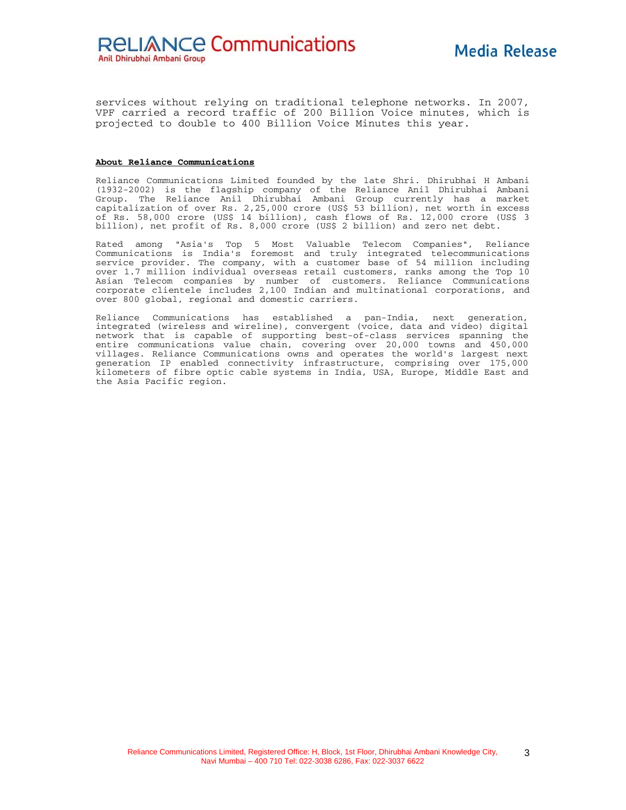services without relying on traditional telephone networks. In 2007, VPF carried a record traffic of 200 Billion Voice minutes, which is projected to double to 400 Billion Voice Minutes this year.

#### **About Reliance Communications**

Reliance Communications Limited founded by the late Shri. Dhirubhai H Ambani (1932-2002) is the flagship company of the Reliance Anil Dhirubhai Ambani Group. The Reliance Anil Dhirubhai Ambani Group currently has a market capitalization of over Rs. 2,25,000 crore (US\$ 53 billion), net worth in excess of Rs. 58,000 crore (US\$ 14 billion), cash flows of Rs. 12,000 crore (US\$ 3 billion), net profit of Rs. 8,000 crore (US\$ 2 billion) and zero net debt.

Rated among "Asia's Top 5 Most Valuable Telecom Companies", Reliance Communications is India's foremost and truly integrated telecommunications service provider. The company, with a customer base of 54 million including over 1.7 million individual overseas retail customers, ranks among the Top 10 Asian Telecom companies by number of customers. Reliance Communications corporate clientele includes 2,100 Indian and multinational corporations, and over 800 global, regional and domestic carriers.

Reliance Communications has established a pan-India, next generation, integrated (wireless and wireline), convergent (voice, data and video) digital network that is capable of supporting best-of-class services spanning the entire communications value chain, covering over 20,000 towns and 450,000 villages. Reliance Communications owns and operates the world's largest next generation IP enabled connectivity infrastructure, comprising over 175,000 kilometers of fibre optic cable systems in India, USA, Europe, Middle East and the Asia Pacific region.